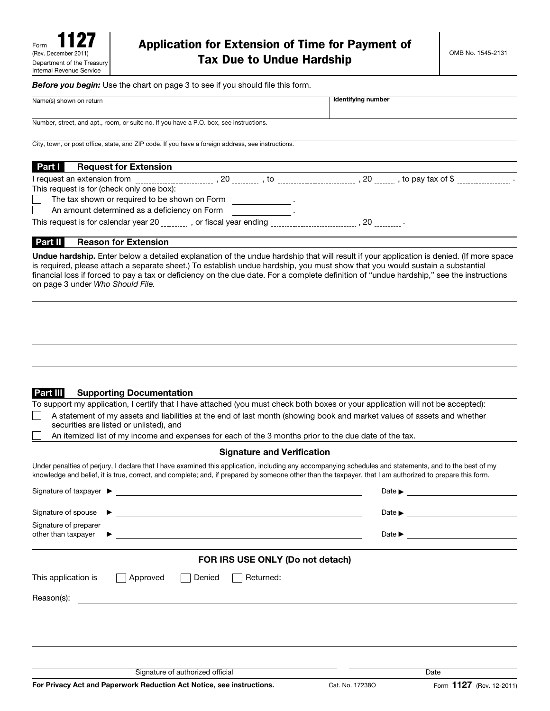*Before you begin:* Use the chart on page 3 to see if you should file this form.

| Name(s) shown on return |  |
|-------------------------|--|
|                         |  |

**Identifying number** 

Number, street, and apt., room, or suite no. If you have a P.O. box, see instructions.

City, town, or post office, state, and ZIP code. If you have a foreign address, see instructions.

#### Part **Request for Extension**

I request an extension from , 20 , to , 20 , to pay tax of \$ . This request is for (check only one box):

The tax shown or required to be shown on Form

 $\mathbf{I}$ An amount determined as a deficiency on Form .

This request is for calendar year 20 , or fiscal year ending , 20 .

#### Part II Reason for Extension

Undue hardship. Enter below a detailed explanation of the undue hardship that will result if your application is denied. (If more space is required, please attach a separate sheet.) To establish undue hardship, you must show that you would sustain a substantial financial loss if forced to pay a tax or deficiency on the due date. For a complete definition of "undue hardship," see the instructions on page 3 under *Who Should File.* 

#### Part III Supporting Documentation

To support my application, I certify that I have attached (you must check both boxes or your application will not be accepted):

A statement of my assets and liabilities at the end of last month (showing book and market values of assets and whether securities are listed or unlisted), and

An itemized list of my income and expenses for each of the 3 months prior to the due date of the tax.

#### Signature and Verification

Under penalties of perjury, I declare that I have examined this application, including any accompanying schedules and statements, and to the best of my knowledge and belief, it is true, correct, and complete; and, if prepared by someone other than the taxpayer, that I am authorized to prepare this form.

| Signature of taxpayer $\blacktriangleright$                                                                      |  |          |                                  |           | Date $\blacktriangleright$ |                                                          |      |  |  |  |
|------------------------------------------------------------------------------------------------------------------|--|----------|----------------------------------|-----------|----------------------------|----------------------------------------------------------|------|--|--|--|
| Signature of spouse $\qquadblacktriangleright$<br>Signature of preparer<br>other than taxpayer $\longrightarrow$ |  |          |                                  |           |                            | Date $\blacktriangleright$<br>Date $\blacktriangleright$ |      |  |  |  |
| FOR IRS USE ONLY (Do not detach)                                                                                 |  |          |                                  |           |                            |                                                          |      |  |  |  |
| This application is                                                                                              |  | Approved | Denied                           | Returned: |                            |                                                          |      |  |  |  |
| Reason(s):                                                                                                       |  |          |                                  |           |                            |                                                          |      |  |  |  |
|                                                                                                                  |  |          |                                  |           |                            |                                                          |      |  |  |  |
|                                                                                                                  |  |          |                                  |           |                            |                                                          |      |  |  |  |
|                                                                                                                  |  |          |                                  |           |                            |                                                          |      |  |  |  |
|                                                                                                                  |  |          | Signature of authorized official |           |                            |                                                          | Date |  |  |  |

For Privacy Act and Paperwork Reduction Act Notice, see instructions. Cat. No. 172380 Form 1127 (Rev. 12-2011)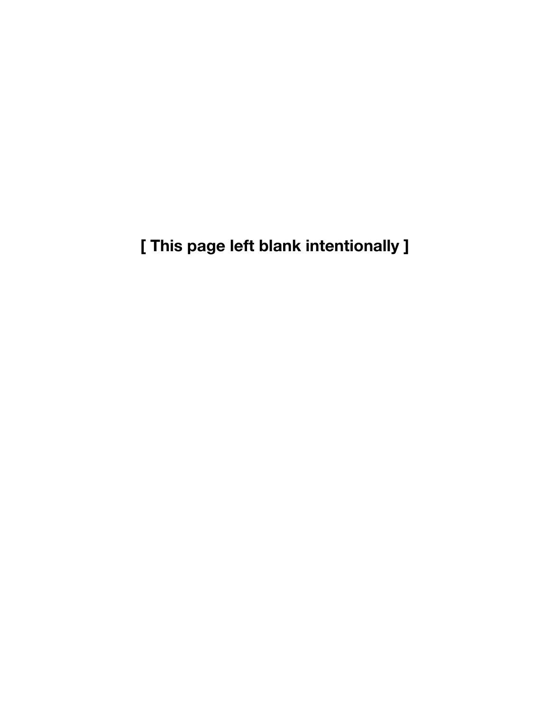[ This page left blank intentionally ]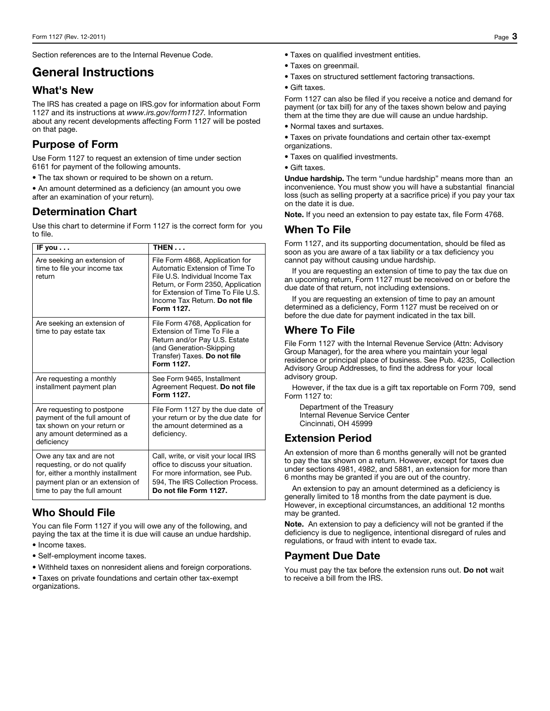Section references are to the Internal Revenue Code.

# General Instructions

#### What's New

The IRS has created a page on IRS.gov for information about Form 1127 and its instructions at *www.irs.gov/form1127.* Information about any recent developments affecting Form 1127 will be posted on that page.

# Purpose of Form

Use Form 1127 to request an extension of time under section 6161 for payment of the following amounts.

• The tax shown or required to be shown on a return.

• An amount determined as a deficiency (an amount you owe after an examination of your return).

# Determination Chart

Use this chart to determine if Form 1127 is the correct form for you to file.

| IF you $\dots$                                                                                                                                                  | THEN                                                                                                                                                                                                                            |  |  |  |  |  |
|-----------------------------------------------------------------------------------------------------------------------------------------------------------------|---------------------------------------------------------------------------------------------------------------------------------------------------------------------------------------------------------------------------------|--|--|--|--|--|
| Are seeking an extension of<br>time to file your income tax<br>return                                                                                           | File Form 4868, Application for<br>Automatic Extension of Time To<br>File U.S. Individual Income Tax<br>Return, or Form 2350, Application<br>for Extension of Time To File U.S.<br>Income Tax Return. Do not file<br>Form 1127. |  |  |  |  |  |
| Are seeking an extension of<br>time to pay estate tax                                                                                                           | File Form 4768, Application for<br>Extension of Time To File a<br>Return and/or Pay U.S. Estate<br>(and Generation-Skipping<br>Transfer) Taxes. Do not file<br>Form 1127.                                                       |  |  |  |  |  |
| Are requesting a monthly<br>installment payment plan                                                                                                            | See Form 9465, Installment<br>Agreement Request. Do not file<br>Form 1127.                                                                                                                                                      |  |  |  |  |  |
| Are requesting to postpone<br>payment of the full amount of<br>tax shown on your return or<br>any amount determined as a<br>deficiency                          | File Form 1127 by the due date of<br>your return or by the due date for<br>the amount determined as a<br>deficiency.                                                                                                            |  |  |  |  |  |
| Owe any tax and are not<br>requesting, or do not qualify<br>for, either a monthly installment<br>payment plan or an extension of<br>time to pay the full amount | Call, write, or visit your local IRS<br>office to discuss your situation.<br>For more information, see Pub.<br>594. The IRS Collection Process.<br>Do not file Form 1127.                                                       |  |  |  |  |  |

# Who Should File

You can file Form 1127 if you will owe any of the following, and paying the tax at the time it is due will cause an undue hardship.

- Income taxes.
- Self-employment income taxes.
- Withheld taxes on nonresident aliens and foreign corporations.
- Taxes on private foundations and certain other tax-exempt organizations.
- Taxes on qualified investment entities.
- Taxes on greenmail.
- Taxes on structured settlement factoring transactions.
- Gift taxes.

Form 1127 can also be filed if you receive a notice and demand for payment (or tax bill) for any of the taxes shown below and paying them at the time they are due will cause an undue hardship.

• Normal taxes and surtaxes.

• Taxes on private foundations and certain other tax-exempt organizations.

- Taxes on qualified investments.
- Gift taxes.

Undue hardship. The term "undue hardship" means more than an inconvenience. You must show you will have a substantial financial loss (such as selling property at a sacrifice price) if you pay your tax on the date it is due.

Note. If you need an extension to pay estate tax, file Form 4768.

### When To File

Form 1127, and its supporting documentation, should be filed as soon as you are aware of a tax liability or a tax deficiency you cannot pay without causing undue hardship.

If you are requesting an extension of time to pay the tax due on an upcoming return, Form 1127 must be received on or before the due date of that return, not including extensions.

If you are requesting an extension of time to pay an amount determined as a deficiency, Form 1127 must be received on or before the due date for payment indicated in the tax bill.

# Where To File

File Form 1127 with the Internal Revenue Service (Attn: Advisory Group Manager), for the area where you maintain your legal residence or principal place of business. See Pub. 4235, Collection Advisory Group Addresses, to find the address for your local advisory group.

However, if the tax due is a gift tax reportable on Form 709, send Form 1127 to:

Department of the Treasury Internal Revenue Service Center Cincinnati, OH 45999

# Extension Period

An extension of more than 6 months generally will not be granted to pay the tax shown on a return. However, except for taxes due under sections 4981, 4982, and 5881, an extension for more than 6 months may be granted if you are out of the country.

An extension to pay an amount determined as a deficiency is generally limited to 18 months from the date payment is due. However, in exceptional circumstances, an additional 12 months may be granted.

Note. An extension to pay a deficiency will not be granted if the deficiency is due to negligence, intentional disregard of rules and regulations, or fraud with intent to evade tax.

# Payment Due Date

You must pay the tax before the extension runs out. Do not wait to receive a bill from the IRS.